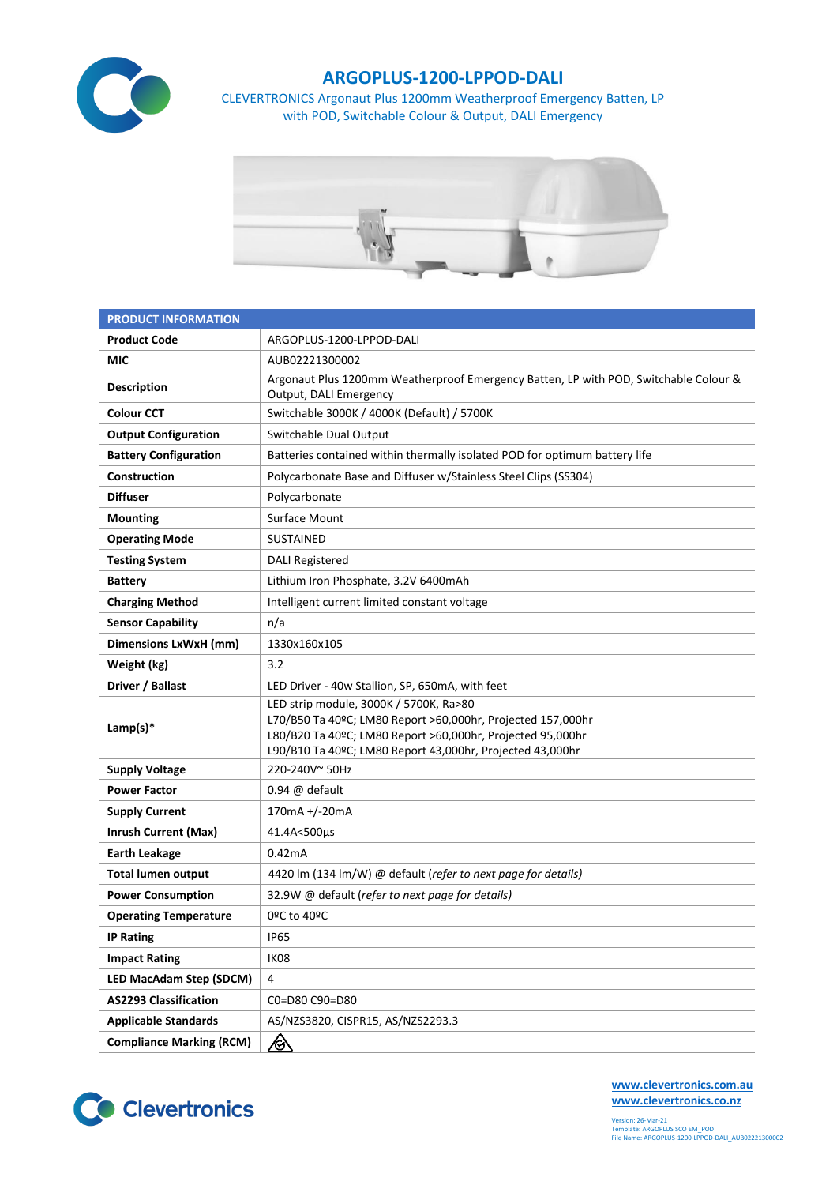

## **ARGOPLUS-1200-LPPOD-DALI**

CLEVERTRONICS Argonaut Plus 1200mm Weatherproof Emergency Batten, LP with POD, Switchable Colour & Output, DALI Emergency



| <b>PRODUCT INFORMATION</b>      |                                                                                                                                                                                                                                  |  |  |  |  |
|---------------------------------|----------------------------------------------------------------------------------------------------------------------------------------------------------------------------------------------------------------------------------|--|--|--|--|
| <b>Product Code</b>             | ARGOPLUS-1200-LPPOD-DALI                                                                                                                                                                                                         |  |  |  |  |
| MIC                             | AUB02221300002                                                                                                                                                                                                                   |  |  |  |  |
| <b>Description</b>              | Argonaut Plus 1200mm Weatherproof Emergency Batten, LP with POD, Switchable Colour &<br>Output, DALI Emergency                                                                                                                   |  |  |  |  |
| <b>Colour CCT</b>               | Switchable 3000K / 4000K (Default) / 5700K                                                                                                                                                                                       |  |  |  |  |
| <b>Output Configuration</b>     | Switchable Dual Output                                                                                                                                                                                                           |  |  |  |  |
| <b>Battery Configuration</b>    | Batteries contained within thermally isolated POD for optimum battery life                                                                                                                                                       |  |  |  |  |
| Construction                    | Polycarbonate Base and Diffuser w/Stainless Steel Clips (SS304)                                                                                                                                                                  |  |  |  |  |
| <b>Diffuser</b>                 | Polycarbonate                                                                                                                                                                                                                    |  |  |  |  |
| <b>Mounting</b>                 | Surface Mount                                                                                                                                                                                                                    |  |  |  |  |
| <b>Operating Mode</b>           | <b>SUSTAINED</b>                                                                                                                                                                                                                 |  |  |  |  |
| <b>Testing System</b>           | <b>DALI Registered</b>                                                                                                                                                                                                           |  |  |  |  |
| <b>Battery</b>                  | Lithium Iron Phosphate, 3.2V 6400mAh                                                                                                                                                                                             |  |  |  |  |
| <b>Charging Method</b>          | Intelligent current limited constant voltage                                                                                                                                                                                     |  |  |  |  |
| <b>Sensor Capability</b>        | n/a                                                                                                                                                                                                                              |  |  |  |  |
| Dimensions LxWxH (mm)           | 1330x160x105                                                                                                                                                                                                                     |  |  |  |  |
| Weight (kg)                     | 3.2                                                                                                                                                                                                                              |  |  |  |  |
| Driver / Ballast                | LED Driver - 40w Stallion, SP, 650mA, with feet                                                                                                                                                                                  |  |  |  |  |
| Lamp(s) $*$                     | LED strip module, 3000K / 5700K, Ra>80<br>L70/B50 Ta 40ºC; LM80 Report >60,000hr, Projected 157,000hr<br>L80/B20 Ta 40ºC; LM80 Report >60,000hr, Projected 95,000hr<br>L90/B10 Ta 40ºC; LM80 Report 43,000hr, Projected 43,000hr |  |  |  |  |
| <b>Supply Voltage</b>           | 220-240V~50Hz                                                                                                                                                                                                                    |  |  |  |  |
| <b>Power Factor</b>             | $0.94 \ @$ default                                                                                                                                                                                                               |  |  |  |  |
| <b>Supply Current</b>           | 170mA +/-20mA                                                                                                                                                                                                                    |  |  |  |  |
| <b>Inrush Current (Max)</b>     | 41.4A<500µs                                                                                                                                                                                                                      |  |  |  |  |
| <b>Earth Leakage</b>            | 0.42mA                                                                                                                                                                                                                           |  |  |  |  |
| <b>Total lumen output</b>       | 4420 lm (134 lm/W) @ default (refer to next page for details)                                                                                                                                                                    |  |  |  |  |
| <b>Power Consumption</b>        | 32.9W @ default (refer to next page for details)                                                                                                                                                                                 |  |  |  |  |
| <b>Operating Temperature</b>    | 0ºC to 40ºC                                                                                                                                                                                                                      |  |  |  |  |
| <b>IP Rating</b>                | <b>IP65</b>                                                                                                                                                                                                                      |  |  |  |  |
| <b>Impact Rating</b>            | IK08                                                                                                                                                                                                                             |  |  |  |  |
| <b>LED MacAdam Step (SDCM)</b>  | 4                                                                                                                                                                                                                                |  |  |  |  |
| <b>AS2293 Classification</b>    | C0=D80 C90=D80                                                                                                                                                                                                                   |  |  |  |  |
| <b>Applicable Standards</b>     | AS/NZS3820, CISPR15, AS/NZS2293.3                                                                                                                                                                                                |  |  |  |  |
| <b>Compliance Marking (RCM)</b> | <u>/&amp;\</u>                                                                                                                                                                                                                   |  |  |  |  |



**[www.clevertronics.com.au](http://www.clevertronics.com.au/) www.clevertronics.co.nz**

Version: 26-Mar-21 Template: ARGOPLUS SCO EM\_POD File Name: ARGOPLUS-1200-LPPOD-DALI\_AUB02221300002